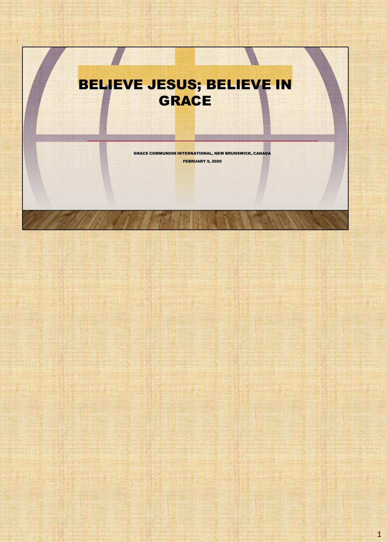# BELIEVE JESUS; BELIEVE IN **GRACE**

GRACE COMMUNION INTERNATIONAL, NEW BRUNSWICK, CANADA FEBRUARY 9, 2020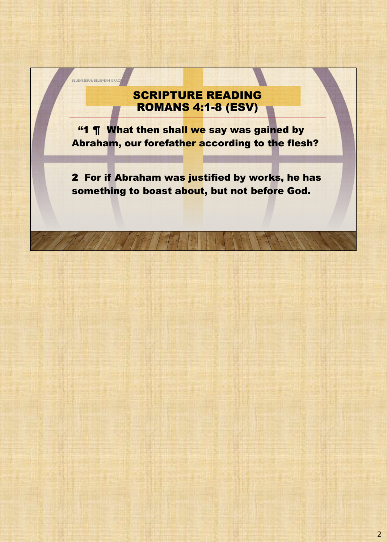## SCRIPTURE READING ROMANS 4:1-8 (ESV)

BELIEVE JESUS; BELIEVE IN GRACE

"1 ¶ What then shall we say was gained by Abraham, our forefather according to the flesh?

2 For if Abraham was justified by works, he has something to boast about, but not before God.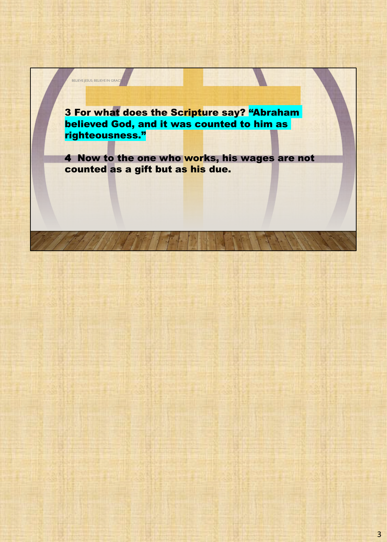3 For what does the Scripture say? "Abraham believed God, and it was counted to him as righteousness."

BELIEVE JESUS; BELIEVE IN GRAC

4 Now to the one who works, his wages are not counted as a gift but as his due.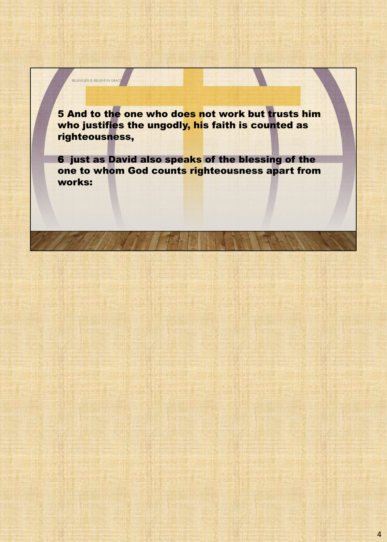5 And to the one who does not work but trusts him who justifies the ungodly, his faith is counted as righteousness,

BELIEVE JESUS; BELIEVE IN GRAC

6 just as David also speaks of the blessing of the one to whom God counts righteousness apart from works: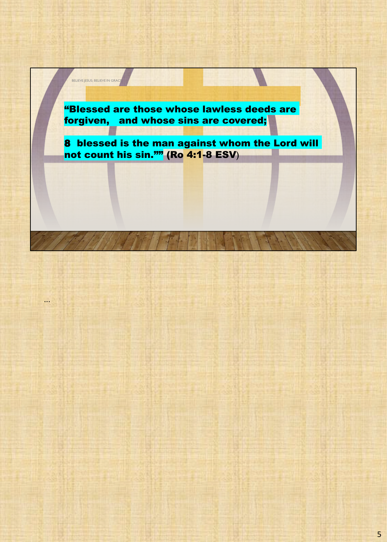"Blessed are those whose lawless deeds are forgiven, and whose sins are covered;

BELIEVE JESUS; BELIEVE IN GRACE

...

8 blessed is the man against whom the Lord will not count his sin."" (Ro 4:1-8 ESV)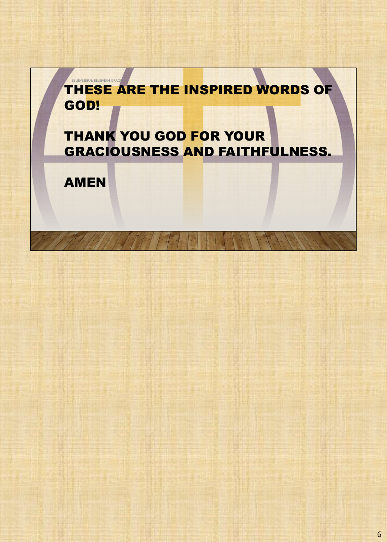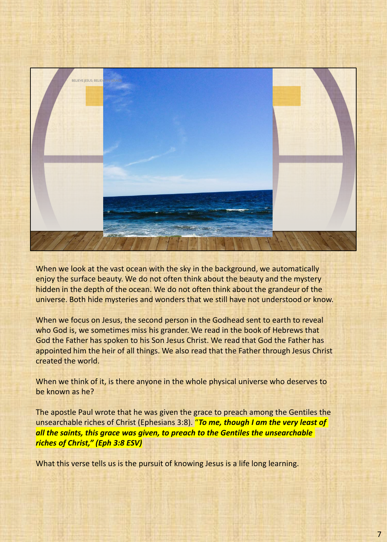

When we look at the vast ocean with the sky in the background, we automatically enjoy the surface beauty. We do not often think about the beauty and the mystery hidden in the depth of the ocean. We do not often think about the grandeur of the universe. Both hide mysteries and wonders that we still have not understood or know.

When we focus on Jesus, the second person in the Godhead sent to earth to reveal who God is, we sometimes miss his grander. We read in the book of Hebrews that God the Father has spoken to his Son Jesus Christ. We read that God the Father has appointed him the heir of all things. We also read that the Father through Jesus Christ created the world.

When we think of it, is there anyone in the whole physical universe who deserves to be known as he?

The apostle Paul wrote that he was given the grace to preach among the Gentiles the unsearchable riches of Christ (Ephesians 3:8). "*To me, though I am the very least of all the saints, this grace was given, to preach to the Gentiles the unsearchable riches of Christ," (Eph 3:8 ESV)*

What this verse tells us is the pursuit of knowing Jesus is a life long learning.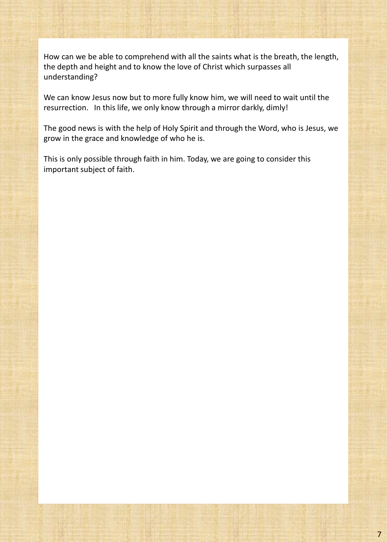How can we be able to comprehend with all the saints what is the breath, the length, the depth and height and to know the love of Christ which surpasses all understanding?

We can know Jesus now but to more fully know him, we will need to wait until the resurrection. In this life, we only know through a mirror darkly, dimly!

The good news is with the help of Holy Spirit and through the Word, who is Jesus, we grow in the grace and knowledge of who he is.

This is only possible through faith in him. Today, we are going to consider this important subject of faith.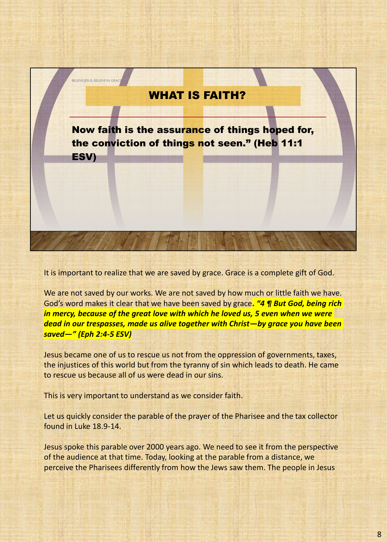

It is important to realize that we are saved by grace. Grace is a complete gift of God.

We are not saved by our works. We are not saved by how much or little faith we have. God's word makes it clear that we have been saved by grace**.** *"4 ¶ But God, being rich in mercy, because of the great love with which he loved us, 5 even when we were dead in our trespasses, made us alive together with Christ—by grace you have been saved—" (Eph 2:4-5 ESV)*

Jesus became one of us to rescue us not from the oppression of governments, taxes, the injustices of this world but from the tyranny of sin which leads to death. He came to rescue us because all of us were dead in our sins.

This is very important to understand as we consider faith.

Let us quickly consider the parable of the prayer of the Pharisee and the tax collector found in Luke 18.9-14.

Jesus spoke this parable over 2000 years ago. We need to see it from the perspective of the audience at that time. Today, looking at the parable from a distance, we perceive the Pharisees differently from how the Jews saw them. The people in Jesus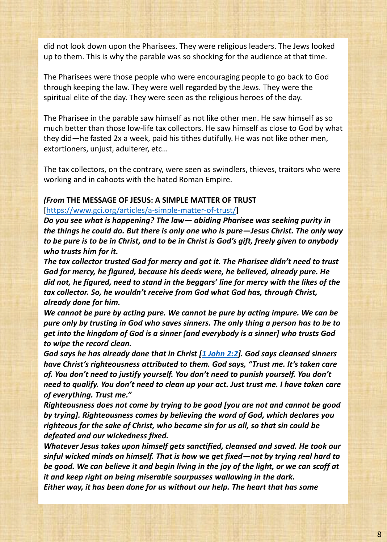did not look down upon the Pharisees. They were religious leaders. The Jews looked up to them. This is why the parable was so shocking for the audience at that time.

The Pharisees were those people who were encouraging people to go back to God through keeping the law. They were well regarded by the Jews. They were the spiritual elite of the day. They were seen as the religious heroes of the day.

The Pharisee in the parable saw himself as not like other men. He saw himself as so much better than those low-life tax collectors. He saw himself as close to God by what they did—he fasted 2x a week, paid his tithes dutifully. He was not like other men, extortioners, unjust, adulterer, etc…

The tax collectors, on the contrary, were seen as swindlers, thieves, traitors who were working and in cahoots with the hated Roman Empire.

#### *(From* **THE MESSAGE OF JESUS: A SIMPLE MATTER OF TRUST**

#### [https://www.gci.org/articles/a-simple-matter-of-trust/]

*Do you see what is happening? The law— abiding Pharisee was seeking purity in the things he could do. But there is only one who is pure—Jesus Christ. The only way to be pure is to be in Christ, and to be in Christ is God's gift, freely given to anybody who trusts him for it.*

*The tax collector trusted God for mercy and got it. The Pharisee didn't need to trust God for mercy, he figured, because his deeds were, he believed, already pure. He did not, he figured, need to stand in the beggars' line for mercy with the likes of the tax collector. So, he wouldn't receive from God what God has, through Christ, already done for him.*

*We cannot be pure by acting pure. We cannot be pure by acting impure. We can be pure only by trusting in God who saves sinners. The only thing a person has to be to get into the kingdom of God is a sinner [and everybody is a sinner] who trusts God to wipe the record clean.*

*God says he has already done that in Christ [1 John 2:2]. God says cleansed sinners have Christ's righteousness attributed to them. God says, "Trust me. It's taken care of. You don't need to justify yourself. You don't need to punish yourself. You don't need to qualify. You don't need to clean up your act. Just trust me. I have taken care of everything. Trust me."*

*Righteousness does not come by trying to be good [you are not and cannot be good by trying]. Righteousness comes by believing the word of God, which declares you righteous for the sake of Christ, who became sin for us all, so that sin could be defeated and our wickedness fixed.*

*Whatever Jesus takes upon himself gets sanctified, cleansed and saved. He took our sinful wicked minds on himself. That is how we get fixed—not by trying real hard to be good. We can believe it and begin living in the joy of the light, or we can scoff at it and keep right on being miserable sourpusses wallowing in the dark. Either way, it has been done for us without our help. The heart that has some*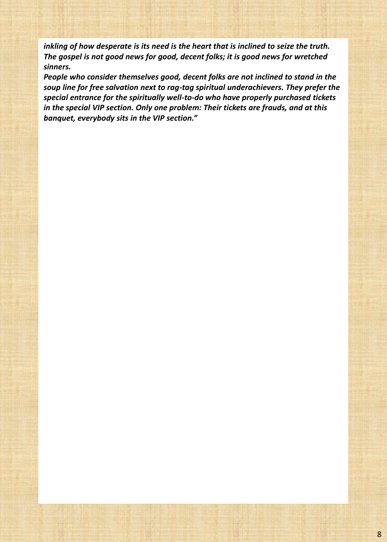*inkling of how desperate is its need is the heart that is inclined to seize the truth. The gospel is not good news for good, decent folks; it is good news for wretched sinners.*

*People who consider themselves good, decent folks are not inclined to stand in the soup line for free salvation next to rag-tag spiritual underachievers. They prefer the special entrance for the spiritually well-to-do who have properly purchased tickets in the special VIP section. Only one problem: Their tickets are frauds, and at this banquet, everybody sits in the VIP section."*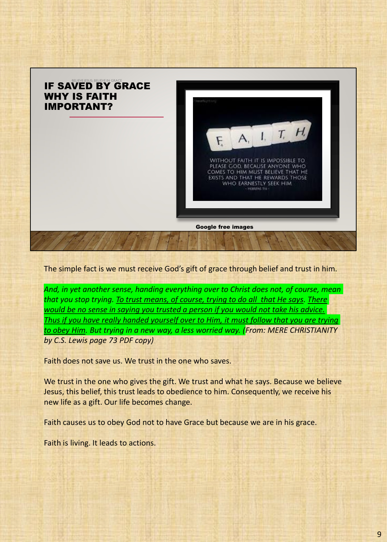

The simple fact is we must receive God's gift of grace through belief and trust in him.

*And, in yet another sense, handing everything over to Christ does not, of course, mean that you stop trying. To trust means, of course, trying to do all that He says. There would be no sense in saying you trusted a person if you would not take his advice. Thus if you have really handed yourself over to Him, it must follow that you are trying to obey Him. But trying in a new way, a less worried way. (From: MERE CHRISTIANITY by C.S. Lewis page 73 PDF copy)*

Faith does not save us. We trust in the one who saves.

We trust in the one who gives the gift. We trust and what he says. Because we believe Jesus, this belief, this trust leads to obedience to him. Consequently, we receive his new life as a gift. Our life becomes change.

Faith causes us to obey God not to have Grace but because we are in his grace.

Faith is living. It leads to actions.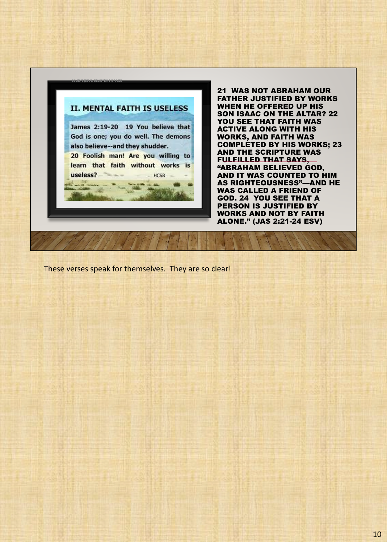![](_page_12_Picture_0.jpeg)

21 WAS NOT ABRAHAM OUR FATHER JUSTIFIED BY WORKS WHEN HE OFFERED UP HIS SON ISAAC ON THE ALTAR? 22 YOU SEE THAT FAITH WAS ACTIVE ALONG WITH HIS WORKS, AND FAITH WAS COMPLETED BY HIS WORKS; 23 AND THE SCRIPTURE WAS FULFILLED THAT SAYS, "ABRAHAM BELIEVED GOD, AND IT WAS COUNTED TO HIM AS RIGHTEOUSNESS"—AND HE WAS CALLED A FRIEND OF GOD. 24 YOU SEE THAT A PERSON IS JUSTIFIED BY WORKS AND NOT BY FAITH ALONE." (JAS 2:21-24 ESV)

These verses speak for themselves. They are so clear!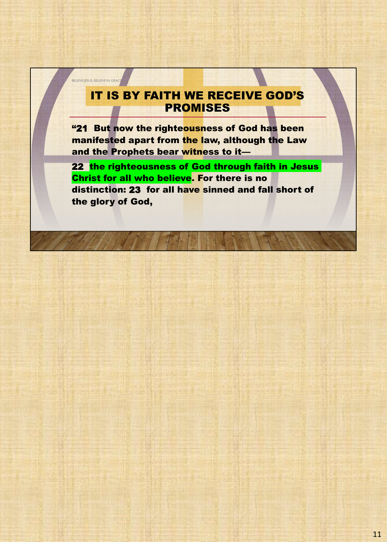### IT IS BY FAITH WE RECEIVE GOD'S PROMISES

**BELIEVE JESUS; BELIEVE IN GRACE** 

"21 But now the righteousness of God has been manifested apart from the law, although the Law and the Prophets bear witness to it—

22 the righteousness of God through faith in Jesus Christ for all who believe. For there is no distinction: 23 for all have sinned and fall short of the glory of God,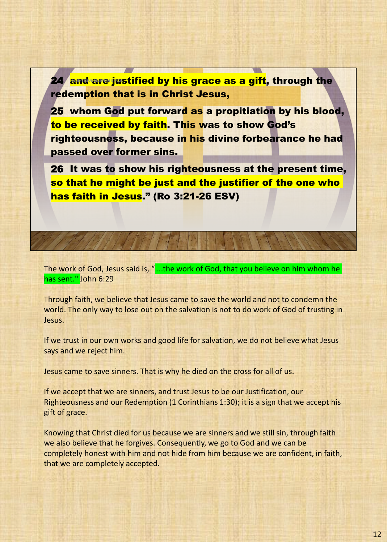24⁄ <mark>and are justified by his grace as a gift</mark>, through the redemption that is in Christ Jesus,

25 whom God put forward as a propitiation by his blood, to be received by faith. This was to show God's righteousness, because in his divine forbearance he had passed over former sins.

26 It was to show his righteousness at the present time, so that he might be just and the justifier of the one who has faith in Jesus." (Ro 3:21-26 ESV)

The work of God, Jesus said is, "….the work of God, that you believe on him whom he has sent." John 6:29

Through faith, we believe that Jesus came to save the world and not to condemn the world. The only way to lose out on the salvation is not to do work of God of trusting in Jesus.

If we trust in our own works and good life for salvation, we do not believe what Jesus says and we reject him.

Jesus came to save sinners. That is why he died on the cross for all of us.

If we accept that we are sinners, and trust Jesus to be our Justification, our Righteousness and our Redemption (1 Corinthians 1:30); it is a sign that we accept his gift of grace.

Knowing that Christ died for us because we are sinners and we still sin, through faith we also believe that he forgives. Consequently, we go to God and we can be completely honest with him and not hide from him because we are confident, in faith, that we are completely accepted.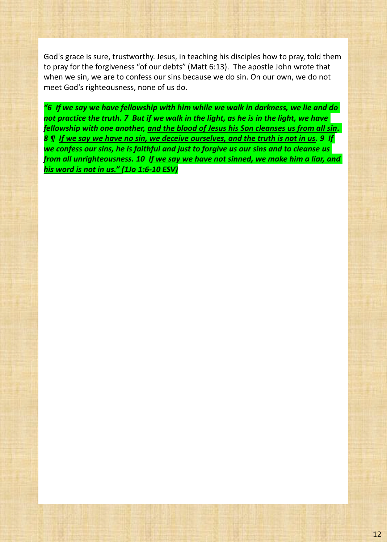God's grace is sure, trustworthy. Jesus, in teaching his disciples how to pray, told them to pray for the forgiveness "of our debts" (Matt 6:13). The apostle John wrote that when we sin, we are to confess our sins because we do sin. On our own, we do not meet God's righteousness, none of us do.

*"6 If we say we have fellowship with him while we walk in darkness, we lie and do not practice the truth. 7 But if we walk in the light, as he is in the light, we have fellowship with one another, and the blood of Jesus his Son cleanses us from all sin. 8 ¶ If we say we have no sin, we deceive ourselves, and the truth is not in us. 9 If we confess our sins, he is faithful and just to forgive us our sins and to cleanse us from all unrighteousness. 10 If we say we have not sinned, we make him a liar, and his word is not in us." (1Jo 1:6-10 ESV)*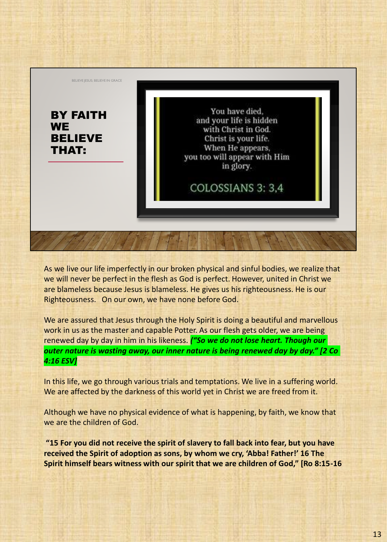![](_page_16_Picture_0.jpeg)

As we live our life imperfectly in our broken physical and sinful bodies, we realize that we will never be perfect in the flesh as God is perfect. However, united in Christ we are blameless because Jesus is blameless. He gives us his righteousness. He is our Righteousness. On our own, we have none before God.

We are assured that Jesus through the Holy Spirit is doing a beautiful and marvellous work in us as the master and capable Potter. As our flesh gets older, we are being renewed day by day in him in his likeness. *("So we do not lose heart. Though our outer nature is wasting away, our inner nature is being renewed day by day." [2 Co 4:16 ESV]*

In this life, we go through various trials and temptations. We live in a suffering world. We are affected by the darkness of this world yet in Christ we are freed from it.

Although we have no physical evidence of what is happening, by faith, we know that we are the children of God.

**"15 For you did not receive the spirit of slavery to fall back into fear, but you have received the Spirit of adoption as sons, by whom we cry, 'Abba! Father!' 16 The Spirit himself bears witness with our spirit that we are children of God," [Ro 8:15-16**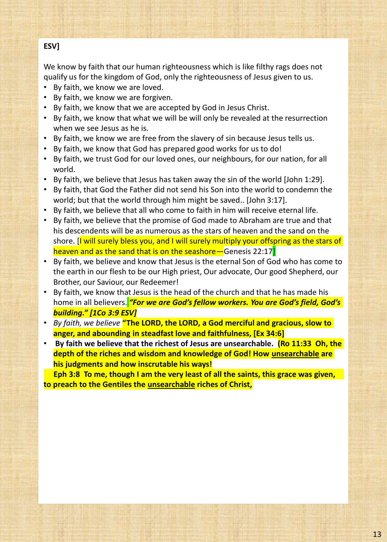### **ESV]**

We know by faith that our human righteousness which is like filthy rags does not qualify us for the kingdom of God, only the righteousness of Jesus given to us.

- By faith, we know we are loved.
- By faith, we know we are forgiven.
- By faith, we know that we are accepted by God in Jesus Christ.
- By faith, we know that what we will be will only be revealed at the resurrection when we see Jesus as he is.
- By faith, we know we are free from the slavery of sin because Jesus tells us.
- By faith, we know that God has prepared good works for us to do!
- By faith, we trust God for our loved ones, our neighbours, for our nation, for all world.
- By faith, we believe that Jesus has taken away the sin of the world [John 1:29].
- By faith, that God the Father did not send his Son into the world to condemn the world; but that the world through him might be saved.. [John 3:17].
- By faith, we believe that all who come to faith in him will receive eternal life.
- By faith, we believe that the promise of God made to Abraham are true and that his descendents will be as numerous as the stars of heaven and the sand on the shore. [I will surely bless you, and I will surely multiply your offspring as the stars of heaven and as the sand that is on the seashore—Genesis 22:17
- By faith, we believe and know that Jesus is the eternal Son of God who has come to the earth in our flesh to be our High priest, Our advocate, Our good Shepherd, our Brother, our Saviour, our Redeemer!
- By faith, we know that Jesus is the head of the church and that he has made his home in all believers. *"For we are God's fellow workers. You are God's field, God's building." [1Co 3:9 ESV]*
- *By faith, we believe* **"The LORD, the LORD, a God merciful and gracious, slow to anger, and abounding in steadfast love and faithfulness, [Ex 34:6]**
- **By faith we believe that the richest of Jesus are unsearchable. (Ro 11:33 Oh, the depth of the riches and wisdom and knowledge of God! How unsearchable are his judgments and how inscrutable his ways!**

**Eph 3:8 To me, though I am the very least of all the saints, this grace was given, to preach to the Gentiles the unsearchable riches of Christ,**